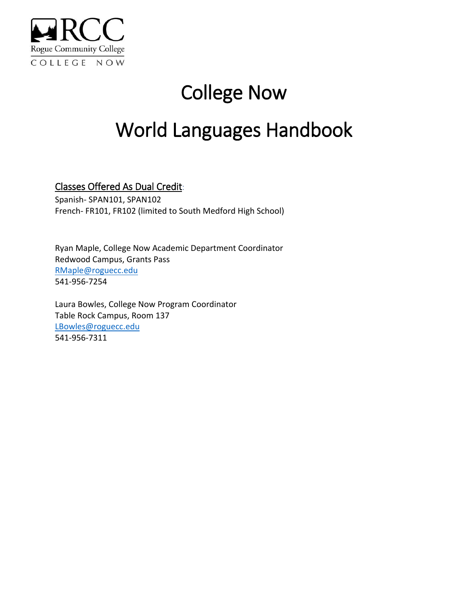

# College Now

# World Languages Handbook

## Classes Offered As Dual Credit:

Spanish- SPAN101, SPAN102 French- FR101, FR102 (limited to South Medford High School)

Ryan Maple, College Now Academic Department Coordinator Redwood Campus, Grants Pass [RMaple@roguecc.edu](mailto:RMaple@roguecc.edu) 541-956-7254

Laura Bowles, College Now Program Coordinator Table Rock Campus, Room 137 [LBowles@roguecc.edu](mailto:LBowles@roguecc.edu) 541-956-7311